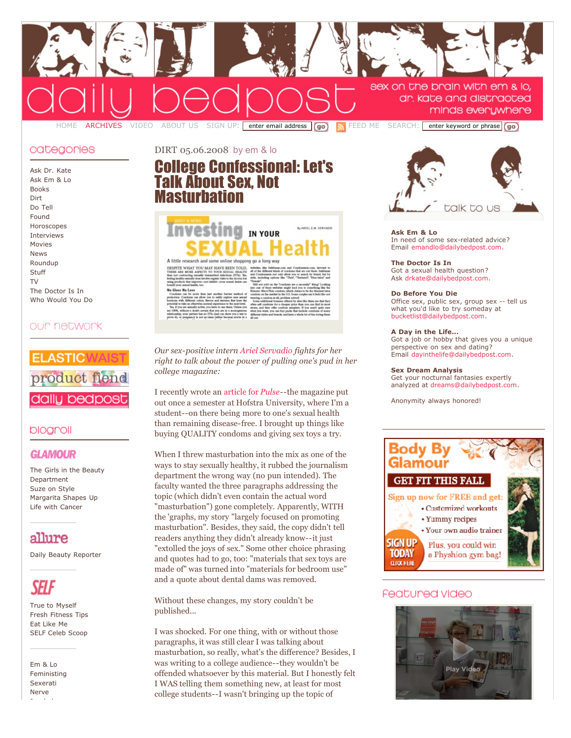

## categonies

Ask Dr. [Kate](http://dailybedpost.com/ask-dr-kate/) Ask Em [& Lo](http://dailybedpost.com/ask-em-lo/) [Books](http://dailybedpost.com/books/) [Dirt](http://dailybedpost.com/dirt/) Do [Tell](http://dailybedpost.com/do-tell/) [Found](http://dailybedpost.com/found/) [Horoscopes](http://dailybedpost.com/horoscopes/) [Interviews](http://dailybedpost.com/bedpost-interview/) [Movies](http://dailybedpost.com/movies/) [News](http://dailybedpost.com/news/) [Roundup](http://dailybedpost.com/roundup/) **[Stuff](http://dailybedpost.com/stuff/)**  $T_{\rm V}$ The [Doctor](http://dailybedpost.com/the-doctor-is-in/) Is In Who [Would](http://dailybedpost.com/who-would-you-do/) You Do

# our network



## blogroll

## **GLAMOUR**

The Girls in the Beauty [Department](http://www.glamour.com/fashionbeauty/blogs/insider) Suze on [Style](http://www.glamour.com/fashionbeauty/blogs/suze) [Margarita](http://www.glamour.com/bbg/blogs/2007) Shapes Up Life with [Cancer](http://www.glamour.com/lifestyle/blogs/editor)

# allure

Daily Beauty [Reporter](http://www.allure.com/beauty/blogs/reporter/)

True to [Myself](http://www.self.com/livingwell/blogs/editor/) Fresh [Fitness](http://www.self.com/fitness/blogs/fitinfitness) Tips Eat [Like](http://www.self.com/health/blogs/eatlikeme) Me SELF Celeb [Scoop](http://www.self.com/livingwell/blogs/celebrity)

Em [& Lo](http://emandlo.com/) [Feministing](http://feministing.com/) [Sexerati](http://www.sexerati.com/) [Nerve](http://nerve.com/)

[Jezebel](http://www.jezebel.com/)

[DIRT](http://dailybedpost.com/dirt) 05.06.2008 by em & lo

# College [Confessional:](http://dailybedpost.com/2008/05/college-confessional-lets-talk.php) Let's Talk About Sex, Not **Masturbation**



DESPITE WHAT YOU MAY HAVE BEEN TOLD.<br>THERE ARE MORE ASPECTS TO YOUR SEXUAL HEALTH

*Our sex-positive intern Ariel [Servadio](http://www.emandlo.com/about/index.php#Interns) fights for her right to talk about the power of pulling one's pud in her college magazine:*

I recently wrote an [article](http://media.www.pulsemagazineonline.com/media/storage/paper1039/news/2008/05/02/BodyMind/Investing.In.Your.Sexual.Health-3360606.shtml) for *Pulse*--the magazine put out once a semester at Hofstra University, where I'm a student--on there being more to one's sexual health than remaining disease-free. I brought up things like buying QUALITY condoms and giving sex toys a try.

When I threw masturbation into the mix as one of the ways to stay sexually healthy, it rubbed the journalism department the wrong way (no pun intended). The faculty wanted the three paragraphs addressing the topic (which didn't even contain the actual word "masturbation") gone completely. Apparently, WITH the 'graphs, my story "largely focused on promoting masturbation". Besides, they said, the copy didn't tell readers anything they didn't already know--it just "extolled the joys of sex." Some other choice phrasing and quotes had to go, too: "materials that sex toys are made of" was turned into "materials for bedroom use" and a quote about dental dams was removed.

Without these changes, my story couldn't be published...

I was shocked. For one thing, with or without those paragraphs, it was still clear I was talking about masturbation, so really, what's the difference? Besides, I was writing to a college audience--they wouldn't be offended whatsoever by this material. But I honestly felt I WAS telling them something new, at least for most college students--I wasn't bringing up the topic of



**Ask Em & Lo** In need of some sex-related advice? Email [emandlo@dailybedpost.com](mailto:emandlo@dailybedpost.com).

**The Doctor Is In** Got a sexual health question? Ask [drkate@dailybedpost.com.](mailto:drkate@dailybedpost.com)

#### **Do Before You Die**

Office sex, public sex, group sex -- tell us what you'd like to try someday at [bucketlist@dailybedpost.com](mailto:bucketlist@dailybedpost.com).

#### **A Day in the Life...**

Got a job or hobby that gives you a unique perspective on sex and dating? Email [dayinthelife@dailybedpost.com.](mailto:dayinthelife@dailybedpost.com)

#### **Sex Dream Analysis**

Get your nocturnal fantasies expertly analyzed at [dreams@dailybedpost.com.](mailto:dreams@dailybedpost.com)

Anonymity always honored!



# Featured video

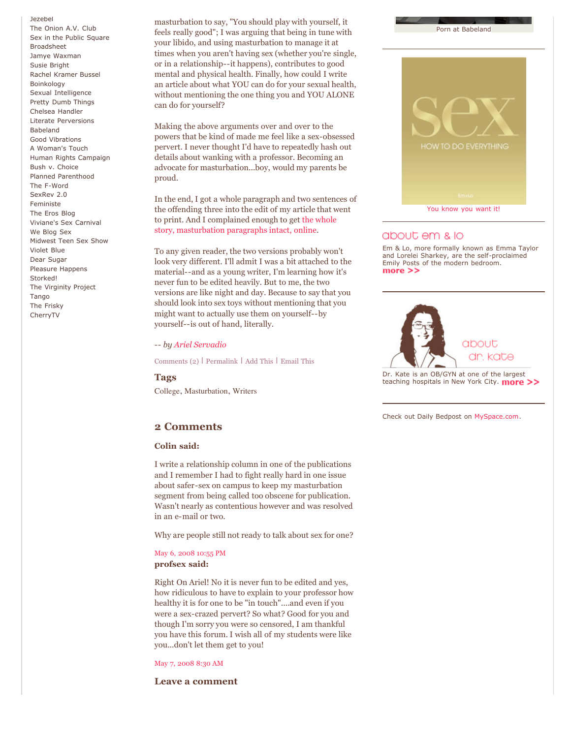[Jezebel](http://www.jezebel.com/) The [Onion](http://origin.avclub.com/content/) A.V. Club Sex in the Public [Square](http://sexinthepublicsquare.org/) [Broadsheet](http://www.salon.com/mwt/broadsheet/) Jamye [Waxman](http://www.jamyewaxman.com/blog/) Susie [Bright](http://susiebright.blogs.com/) Rachel [Kramer](http://lustylady.blogspot.com/) Bussel [Boinkology](http://www.boinkology.com/) Sexual [Intelligence](http://sexualintelligence.wordpress.com/) Pretty Dumb [Things](http://prettydumbthings.typepad.com/) [Chelsea](http://www.myspace.com/chelseahandler) Handler Literate [Perversions](http://chrisahall.com/) [Babeland](http://blog.babeland.com/) Good [Vibrations](http://blog.goodvibes.com/) A [Woman's](http://www.a-womans-touch.com/) Touch Human Rights [Campaign](http://www.hrc.org/) Bush v. [Choice](http://www.bushvchoice.com/) Planned [Parenthood](http://www.plannedparenthood.org/) The [F-Word](http://www.thefword.org.uk/blog/) [SexRev](http://www.reginalynn.com/) 2.0 [Feministe](http://www.feministe.us/blog/) The Eros [Blog](http://www.erosblog.com/) [Viviane's](http://www.thesexcarnival.com/) Sex Carnival We [Blog](http://blog.goodvibes.com/) Sex [Midwest](http://midwestteensexshow.com/) Teen Sex Show [Violet](http://www.tinynibbles.com/violetblue.html) Blue Dear [Sugar](http://dearsugar.com/) Pleasure [Happens](http://www.pleasurehappens.com/) [Storked!](http://www.glamour.com/lifestyle/blogs/pregnant) The [Virginity](http://www.virginityproject.typepad.com/) Project **[Tango](http://www.yourtango.com/)** The [Frisky](http://thefrisky.com/) [CherryTV](http://www.cherrytv.com/)

masturbation to say, "You should play with yourself, it feels really good"; I was arguing that being in tune with your libido, and using masturbation to manage it at times when you aren't having sex (whether you're single, or in a relationship--it happens), contributes to good mental and physical health. Finally, how could I write an article about what YOU can do for your sexual health, without mentioning the one thing you and YOU ALONE can do for yourself?

Making the above arguments over and over to the powers that be kind of made me feel like a sex-obsessed pervert. I never thought I'd have to repeatedly hash out details about wanking with a professor. Becoming an advocate for masturbation...boy, would my parents be proud.

In the end, I got a whole paragraph and two sentences of the offending three into the edit of my article that went to print. And I complained enough to get the whole story, [masturbation](http://media.www.pulsemagazineonline.com/media/storage/paper1039/news/2008/05/02/BodyMind/Investing.In.Your.Sexual.Health-3360606.shtml) paragraphs intact, online.

To any given reader, the two versions probably won't look very different. I'll admit I was a bit attached to the material--and as a young writer, I'm learning how it's never fun to be edited heavily. But to me, the two versions are like night and day. Because to say that you should look into sex toys without mentioning that you might want to actually use them on yourself--by yourself--is out of hand, literally.

*-- by Ariel [Servadio](http://www.emandlo.com/about/index.php#Interns)*

[Comments](http://dailybedpost.com/2008/05/college-confessional-lets-talk.php#comments) (2) | [Permalink](http://dailybedpost.com/2008/05/college-confessional-lets-talk.php) | Add [This](http://www.addthis.com/bookmark.php) | [Email](http://www.feedburner.com/fb/a/emailFlare?itemTitle=College%20Confessional:%20Let) This

**Tags**

[College](http://cnpblogs.com/cgi-bin/mt/mt-search.cgi?tag=College&IncludeBlogs=2), [Masturbation,](http://cnpblogs.com/cgi-bin/mt/mt-search.cgi?tag=Masturbation&IncludeBlogs=2) [Writers](http://cnpblogs.com/cgi-bin/mt/mt-search.cgi?tag=Writers&IncludeBlogs=2)

## **2 Comments**

#### **Colin said:**

I write a relationship column in one of the publications and I remember I had to fight really hard in one issue about safer-sex on campus to keep my masturbation segment from being called too obscene for publication. Wasn't nearly as contentious however and was resolved in an e-mail or two.

Why are people still not ready to talk about sex for one?

### May 6, 2008 [10:55](http://dailybedpost.com/2008/05/college-confessional-lets-talk.php#comment-19595) PM **profsex said:**

Right On Ariel! No it is never fun to be edited and yes, how ridiculous to have to explain to your professor how healthy it is for one to be "in touch"....and even if you were a sex-crazed pervert? So what? Good for you and though I'm sorry you were so censored, I am thankful you have this forum. I wish all of my students were like you...don't let them get to you!

May 7, [2008](http://dailybedpost.com/2008/05/college-confessional-lets-talk.php#comment-19605) 8:30 AM

#### **Leave a comment**

*<u>OW TO DO EVERYTHING</u>* You [know](http://www.amazon.com/exec/obidos/ASIN/0756633613/emandlo-20) you want it!

Porn at [Babeland](http://dailybedpost.com/video_archives.html)

## about em & lo

Em & Lo, more formally known as Emma Taylor and Lorelei Sharkey, are the self-proclaimed [Emily](http://dailybedpost.com/about_us.html) Posts of the modern bedroom.  $more$   $>$ 



Dr. Kate is an OB/GYN at one of the [largest](http://dailybedpost.com/about_us.html) teaching hospitals in New York City. **more >>** 

Check out Daily Bedpost on [MySpace.com.](http://myspace.com/dailybedpost)